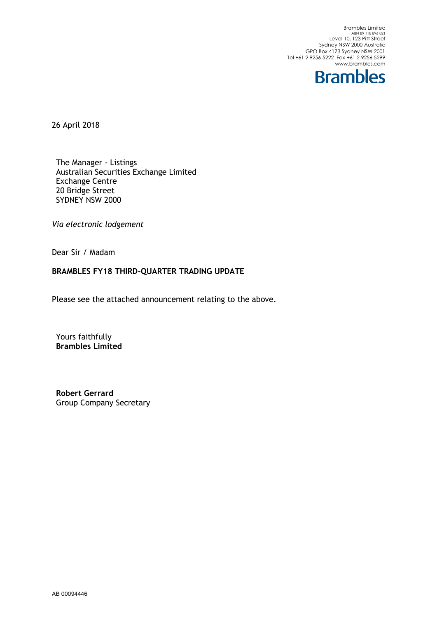Brambles Limited<br>ABN 89 118 896 021<br>Level 10, 123 Pitt Street Sydney NSW 2000 Australia GPO Box 4173 Sydney NSW 2001 Tel +61 2 9256 5222 Fax +61 2 9256 5299 www.brambles.com



26 April 2018

The Manager - Listings Australian Securities Exchange Limited Exchange Centre 20 Bridge Street SYDNEY NSW 2000

*Via electronic lodgement*

Dear Sir / Madam

### **BRAMBLES FY18 THIRD-QUARTER TRADING UPDATE**

Please see the attached announcement relating to the above.

Yours faithfully **Brambles Limited**

**Robert Gerrard** Group Company Secretary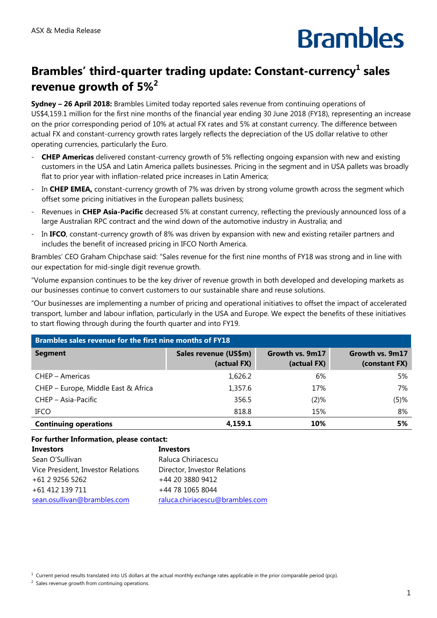# **Brambles**

## Brambles' third-quarter trading update: Constant-currency<sup>1</sup> sales **revenue growth of 5%2**

**Sydney – 26 April 2018:** Brambles Limited today reported sales revenue from continuing operations of US\$4,159.1 million for the first nine months of the financial year ending 30 June 2018 (FY18), representing an increase on the prior corresponding period of 10% at actual FX rates and 5% at constant currency. The difference between actual FX and constant-currency growth rates largely reflects the depreciation of the US dollar relative to other operating currencies, particularly the Euro.

- **CHEP Americas** delivered constant-currency growth of 5% reflecting ongoing expansion with new and existing customers in the USA and Latin America pallets businesses. Pricing in the segment and in USA pallets was broadly flat to prior year with inflation-related price increases in Latin America;
- In **CHEP EMEA,** constant-currency growth of 7% was driven by strong volume growth across the segment which offset some pricing initiatives in the European pallets business;
- Revenues in **CHEP Asia-Pacific** decreased 5% at constant currency, reflecting the previously announced loss of a large Australian RPC contract and the wind down of the automotive industry in Australia; and
- In **IFCO**, constant-currency growth of 8% was driven by expansion with new and existing retailer partners and includes the benefit of increased pricing in IFCO North America.

Brambles' CEO Graham Chipchase said: "Sales revenue for the first nine months of FY18 was strong and in line with our expectation for mid-single digit revenue growth.

"Volume expansion continues to be the key driver of revenue growth in both developed and developing markets as our businesses continue to convert customers to our sustainable share and reuse solutions.

"Our businesses are implementing a number of pricing and operational initiatives to offset the impact of accelerated transport, lumber and labour inflation, particularly in the USA and Europe. We expect the benefits of these initiatives to start flowing through during the fourth quarter and into FY19.

| Brambles sales revenue for the first nine months of FY18 |                                      |                                |                                  |
|----------------------------------------------------------|--------------------------------------|--------------------------------|----------------------------------|
| <b>Segment</b>                                           | Sales revenue (US\$m)<br>(actual FX) | Growth vs. 9m17<br>(actual FX) | Growth vs. 9m17<br>(constant FX) |
| CHEP – Americas                                          | 1,626.2                              | 6%                             | 5%                               |
| CHEP - Europe, Middle East & Africa                      | 1,357.6                              | 17%                            | 7%                               |
| CHEP - Asia-Pacific                                      | 356.5                                | $(2)$ %                        | $(5)$ %                          |
| <b>IFCO</b>                                              | 818.8                                | 15%                            | 8%                               |
| <b>Continuing operations</b>                             | 4,159.1                              | 10%                            | 5%                               |

#### **For further Information, please contact:**

| <b>Investors</b>                   | <b>Investors</b>                |
|------------------------------------|---------------------------------|
| Sean O'Sullivan                    | Raluca Chiriacescu              |
| Vice President, Investor Relations | Director, Investor Relations    |
| +61 2 9256 5262                    | +44 20 3880 9412                |
| +61 412 139 711                    | +44 78 1065 8044                |
| sean.osullivan@brambles.com        | raluca.chiriacescu@brambles.com |

 $1$  Current period results translated into US dollars at the actual monthly exchange rates applicable in the prior comparable period (pcp).

 $2$  Sales revenue growth from continuing operations.